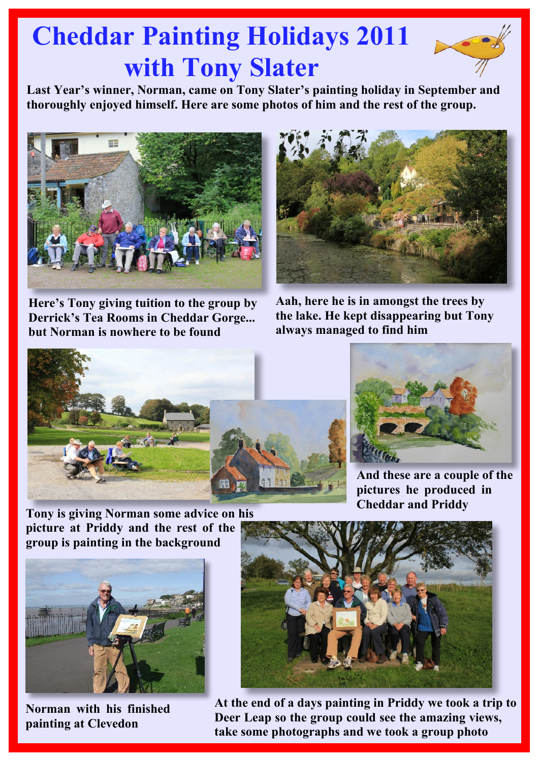## **Cheddar Painting Holidays 2011 with Tony Slater**

**Last Year's winner, Norman, came on Tony Slater's painting holiday in September and thoroughly enjoyed himself. Here are some photos of him and the rest of the group.**



**Here's Tony giving tuition to the group by Derrick's Tea Rooms in Cheddar Gorge... but Norman is nowhere to be found**



**Aah, here he is in amongst the trees by the lake. He kept disappearing but Tony always managed to find him**





**And these are a couple of the pictures he produced in Cheddar and Priddy**

**Tony is giving Norman some advice on his picture at Priddy and the rest of the group is painting in the background**



**Norman with his finished painting at Clevedon**



**At the end of a days painting in Priddy we took a trip to Deer Leap so the group could see the amazing views, take some photographs and we took a group photo**